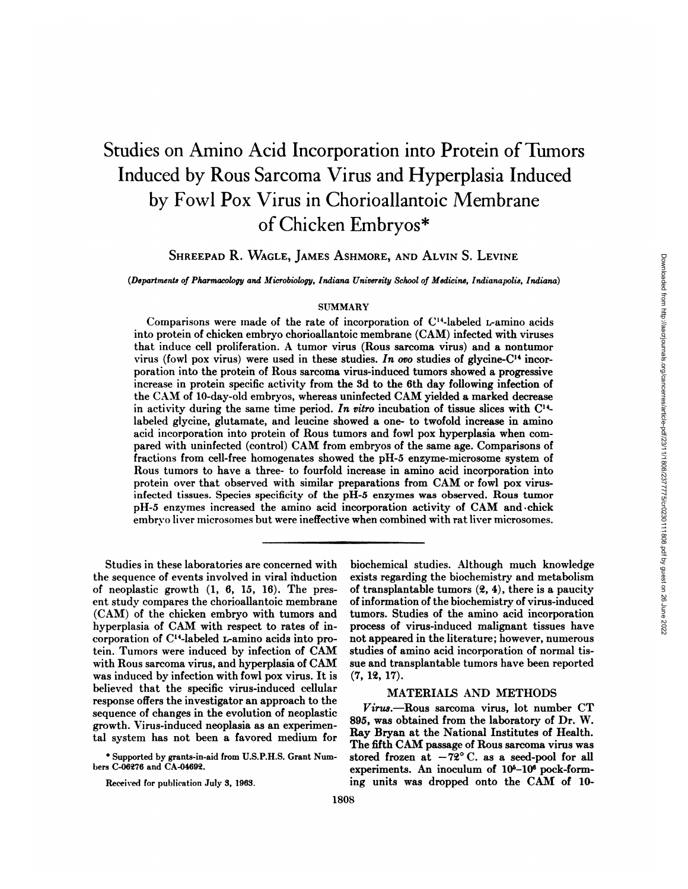# Studies on Amino Acid Incorporation into Protein of Tumors Induced by Rous Sarcoma Virus and Hyperplasia Induced by Fowl Pox Virus in Chorioallantoic Membrane of Chicken Embryos\*

SHREEPAD R. WAGLE, JAMES ASHMORE, AND ALVIN S. LEVINE

*(Departments of Pharmacology and ilicrobiology, Indiana University Scliool of Medicine, Indianapolis, Indiana)*

### SUMMARY

Comparisons were made of the rate of incorporation of  $C<sup>14</sup>$ -labeled L-amino acids into protein of chicken embryo chorioallantoic membrane (CAM) infected with viruses that induce cell proliferation. A tumor virus (Rous sarcoma virus) and a nontumor virus (fowl pox virus) were used in these studies. In order studies of glycine-C<sup>14</sup> incorporation into the protein of Rous sarcoma virus-induced tumors showed a progressive increase in protein specific activity from the 3d to the 6th day following infection of the CAM of 10-day-old embryos, whereas uninfected CAM yielded a marked decrease in activity during the same time period. In vitro incubation of tissue slices with  $C<sup>14</sup>$ labeled glycine, glutamate, and leucine showed a one- to twofold increase in amino acid incorporation into protein of Rous tumors and fowl pox hyperplasia when com pared with uninfected (control) CAM from embryos of the same age. Comparisons of fractions from cell-free homogenates showed the pH-5 enzyme-microsome system of Rous tumors to have a three- to fourfold increase in amino acid incorporation into protein over that observed with similar preparations from CAM or fowl pox virusinfected tissues. Species specificity of the pH-5 enzymes was observed. Rous tumor pH-5 enzymes increased the amino acid incorporation activity of CAM and chick embrvo liver microsomes but were ineffective when combined with rat liver microsomes.

the sequence of events involved in viral induction exists regarding the biochemistry and metabolism of neoplastic growth  $(1, 6, 15, 16)$ . The pres- of transplantable tumors  $(2, 4)$ , there is a paucity cnt study compares the chorioallantoic membrane of information of the biochemistry of virus-induced tein. Tumors were induced by infection of CAM studies of amino acid incorporation of normal tiswas induced by infection with fowl pox virus. It is (7, 12, 17). believed that the specific virus-induced cellular MATERIALS AND METHODS response offers the investigator an approach to the  $s$ <sup>trus</sup>.--Rous sarcoma virus, lot number CT sequence of changes in the evolution of neoplastic  $s$ growth. Virus-induced neoplasia as an experimen- $\sum_{n=1}^{\infty}$  & 85, was obtained from the laboratory of Dr. W.

Studies in these laboratories are concerned with biochemical studies. Although much knowledge (CAM) of the chicken embryo with tumors and tumors. Studies of the amino acid incorporation hyperplasia of CAM with respect to rates of in- process of virus-induced malignant tissues have corporation of C14-labeled L-amino acids into pro- not appeared in the literature; however, numerous with Rous sarcoma virus, and hyperplasia of CAM sue and transplantable tumors have been reported

tal system has not been a favored medium for  $\frac{Ray}{dx}$  Bryan at the National Institutes of Health.  $\frac{1}{100}$  he fifth CAM passage of Rous sarcoma virus was  $\frac{1}{100}$  and  $\frac{1}{100}$  for all  $\frac{1}{100}$  for all  $\frac{1}{100}$  for all  $\frac{1}{100}$  for all  $\frac{1}{100}$  for all  $\frac{1}{100}$  for all  $\frac{1}{100}$  for all  $\frac{1}{$ bers C-06276 and CA-04692. experiments. An inoculum of  $10^5$ -10<sup>6</sup> pock-form-Received for publication July 3, 1963. ing units was dropped onto the CAM of 10-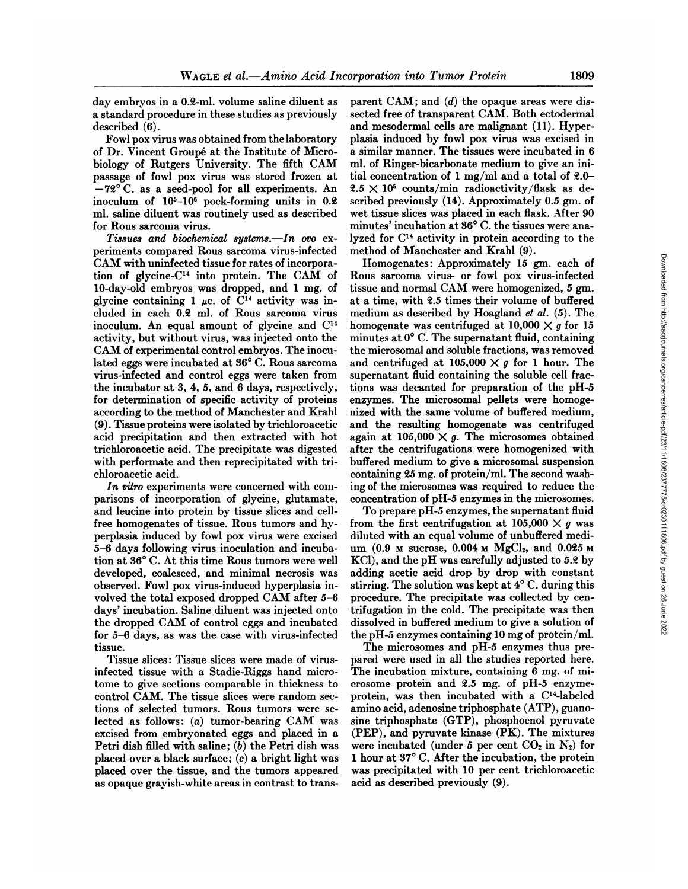day embryos in a 0.2-ml. volume saline diluent as a standard procedure in these studies as previously described (6).

Fowl pox virus was obtained from the laboratory of Dr. Vincent Groupéat the Institute of Micro biology of Rutgers University. The fifth CAM passage of fowl pox virus was stored frozen at —72°C. as a seed-pool for all experiments. An inoculum of 105-106 pock-forming units in 0.2 ml. saline diluent was routinely used as described wet tissue slices was placed in each flask. After 90 for Rous sarcoma virus.  $\frac{1}{100}$  minutes' incubation at 36° C. the tissues were anafor Rous sarcoma virus.

*Tissues and biochemical systems.—In ovo ex* periments compared Rous sarcoma virus-infected CAM with uninfected tissue for rates of incorpora tion of glycine- $C<sup>14</sup>$  into protein. The CAM of 10-day-old embryos was dropped, and 1 mg. of glycine containing 1  $\mu$ c. of C<sup>14</sup> activity was included in each 0.2 ml. of Rous sarcoma virus inoculum. An equal amount of glycine and C14 activity, but without virus, was injected onto the CAM of experimental control embryos. The inocu lated eggs were incubated at 36°C. Rous sarcoma virus-infected and control eggs were taken from the incubator at 3, 4, 5, and 6 days, respectively, for determination of specific activity of proteins according to the method of Manchester and Krahl (9). Tissue proteins were isolated by trichloroacetic acid precipitation and then extracted with hot trichloroacetic acid. The precipitate was digested with performate and then reprecipitated with tri chloroacetic acid.

*In vitro experiments were concerned with com* parisons of incorporation of glycine, glutamate, and leucine into protein by tissue slices and cellfree homogenates of tissue. Rous tumors and hyperplasia induced by fowl pox virus were excised 5-6 days following virus inoculation and incuba tion at 36°C. At this time Rous tumors were well developed, coalesced, and minimal necrosis was observed. Fowl pox virus-induced hyperplasia in volved the total exposed dropped CAM after 5-6 days' incubation. Saline diluent was injected onto the dropped CAM of control eggs and incubated for 5-6 days, as was the case with virus-infected tissue.

Tissue slices : Tissue slices were made of virusinfected tissue with a Stadie-Riggs hand micro tome to give sections comparable in thickness to control CAM. The tissue slices were random sec tions of selected tumors. Rous tumors were se lected as follows: (a) tumor-bearing CAM was excised from embryonated eggs and placed in a Petri dish filled with saline;  $(b)$  the Petri dish was placed over a black surface; (c) a bright light was placed over the tissue, and the tumors appeared as opaque grayish-white areas in contrast to trans

parent CAM; and  $(d)$  the opaque areas were dissected free of transparent CAM. Both ectodermal and mesodermal cells are malignant (11). Hyper plasia induced by fowl pox virus was excised in a similar manner. The tissues were incubated in 6 ml. of Ringer-bicarbonate medium to give an ini tial concentration of 1 mg/ml and a total of 2.0—  $2.5 \times 10^5$  counts/min radioactivity/flask as described previously (14). Approximately 0.5 gm. of wet tissue slices was placed in each flask. After 90 lyzed for C14 activity in protein according to the method of Manchester and Krahl (9).

Homogenates: Approximately 15 gm. each of Rous sarcoma virus- or fowl pox virus-infected tissue and normal CAM were homogenized, 5 gm. at a time, with 2.5 times their volume of buffered medium as described by Hoagland et al. (5). The homogenate was centrifuged at 10,000  $\times$  g for 15 minutes at  $0^{\circ}$  C. The supernatant fluid, containing the microsomal and soluble fractions, was removed and centrifuged at 105,000  $\times$  g for 1 hour. The supernatant fluid containing the soluble cell frac tions was decanted for preparation of the pH-5 enzymes. The microsomal pellets were homoge nized with the same volume of buffered medium, and the resulting homogenate was centrifuged again at 105,000  $\times$  g. The microsomes obtained after the centrifugations were homogenized with buffered medium to give a microsomal suspension containing 25 mg. of protein/ml. The second wash ing of the microsomes was required to reduce the concentration of pH-5 enzymes in the microsomes. Homogenates: Approximately 15 gm. each of<br>
Romogenates: Approximately 15 gm. each of<br>
tissue and normal CAM were homogenized, 5 gm.<br>
at a time, with 2.5 times their volume of buffered<br>
medium as described by Hoggland et a

To prepare pH-5 enzymes, the supernatant fluid from the first centrifugation at  $105,000 \times g$  was diluted with an equal volume of unbuffered medi KC1), and the pH was carefully adjusted to 5.2 by adding acetic acid drop by drop with constant stirring. The solution was kept at 4°C. during this procedure. The precipitate was collected by cen trifugation in the cold. The precipitate was then dissolved in buffered medium to give a solution of the pH-5 enzymes containing 10 mg of protein/ml.

The microsomes and pH-5 enzymes thus pre pared were used in all the studies reported here. The incubation mixture, containing 6 mg. of mi crosome protein and 2.5 mg. of pH-5 enzymeprotein, was then incubated with a  $C<sup>14</sup>$ -labeled amino acid, adenosine triphosphate (ATP), guanosine triphosphate (GTP), phosphoenol pyruvate (PEP), and pyruvate kinase (PK). The mixtures were incubated (under 5 per cent  $CO<sub>2</sub>$  in  $N<sub>2</sub>$ ) for 1 hour at 37°C. After the incubation, the protein was precipitated with 10 per cent trichloroacetic acid as described previously (9).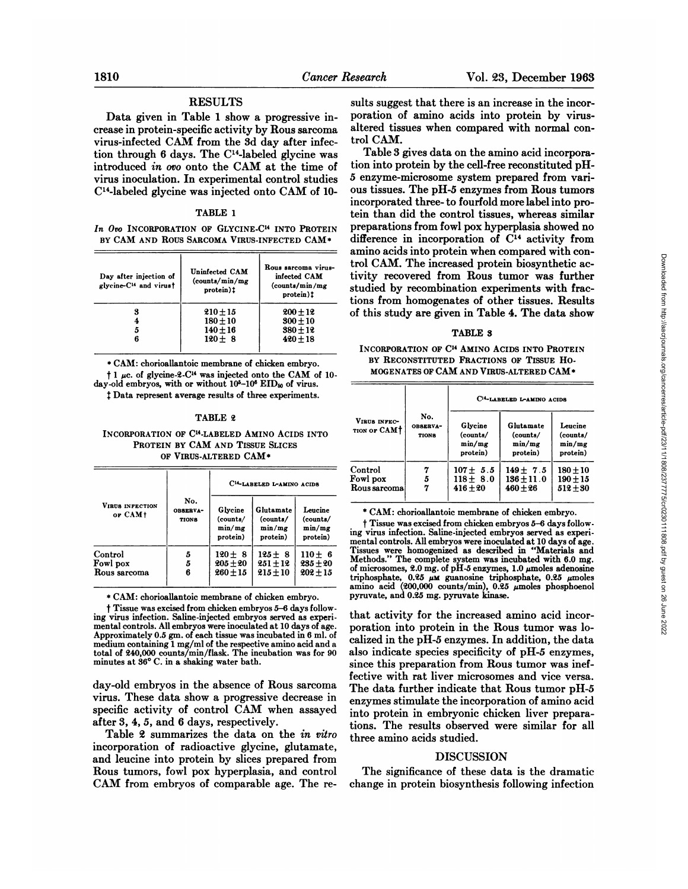# **RESULTS**

Data given in Table 1 show a progressive increase in protein-specific activity by Rous sarcoma virus-infected CAM from the 3d day after infection through 6 days. The C<sup>14</sup>-labeled glycine was introduced in oro onto the CAM at the time of virus inoculation. In experimental control studies C<sup>14</sup>-labeled glycine was injected onto CAM of 10-

#### TABLE 1

In Oro INCORPORATION OF GLYCINE-C<sup>14</sup> INTO PROTEIN BY CAM AND ROUS SARCOMA VIRUS-INFECTED CAM\*

| Day after injection of<br>glycine-C <sup>14</sup> and virust | Uninfected CAM<br>(counts/min/mg)<br>protein)!      | Rous sarcoma virus-<br>infected CAM<br>(counts/min/mg)<br>protein)! |  |
|--------------------------------------------------------------|-----------------------------------------------------|---------------------------------------------------------------------|--|
| 3<br>5<br>6                                                  | $210 + 15$<br>$180 + 10$<br>$140 + 16$<br>$120 + 8$ | $200 + 12$<br>$300 + 10$<br>$380 + 12$<br>$420 + 18$                |  |
|                                                              |                                                     |                                                                     |  |

\* CAM: chorioallantoic membrane of chicken embryo.  $\dagger$  1 µc. of glycine-2-C<sup>14</sup> was injected onto the CAM of 10day-old embryos, with or without 10<sup>5</sup>-10<sup>6</sup> EID<sub>50</sub> of virus. # Data represent average results of three experiments.

#### TABLE 2

### INCORPORATION OF C<sup>14</sup>-LABELED AMINO ACIDS INTO PROTEIN BY CAM AND TISSUE SLICES OF VIRUS-ALTERED CAM\*

|                                     |                                 | C <sup>14</sup> -LABELED L-AMINO ACIDS    |                                             |                                           |  |
|-------------------------------------|---------------------------------|-------------------------------------------|---------------------------------------------|-------------------------------------------|--|
| <b>VIRUS INFECTION</b><br>or CAM+   | No.<br><b>OBSERVA-</b><br>TIONS | Glycine<br>(counts/<br>min/mg<br>protein) | Glutamate<br>(counts/<br>min/mg<br>protein) | Leucine<br>(counts/<br>min/mg<br>protein) |  |
| Control<br>Fowl pox<br>Rous sarcoma | 5<br>5<br>6                     | $120 \pm 8$<br>$205 + 20$<br>$260 + 15$   | $125 + 8$<br>$251 + 12$<br>$215 + 10$       | $110 \pm 6$<br>$235 + 20$<br>$202 + 15$   |  |

\* CAM: chorioallantoic membrane of chicken embryo.

<sup>†</sup> Tissue was excised from chicken embryos 5-6 days following virus infection. Saline-injected embryos served as experimental controls. All embryos were inoculated at 10 days of age. Approximately 0.5 gm. of each tissue was incubated in 6 ml. of reproduced in containing 1 mg/ml of the respective amino acid and a total of 240,000 counts/min/flask. The incubation was for 90 minutes at 36° C. in a shaking water bath.

day-old embryos in the absence of Rous sarcoma virus. These data show a progressive decrease in specific activity of control CAM when assayed after 3, 4, 5, and 6 days, respectively.

Table 2 summarizes the data on the in vitro incorporation of radioactive glycine, glutamate, and leucine into protein by slices prepared from Rous tumors, fowl pox hyperplasia, and control CAM from embryos of comparable age. The re-

sults suggest that there is an increase in the incorporation of amino acids into protein by virusaltered tissues when compared with normal control CAM.

Table 3 gives data on the amino acid incorporation into protein by the cell-free reconstituted pH-5 enzyme-microsome system prepared from various tissues. The pH-5 enzymes from Rous tumors incorporated three-to fourfold more label into protein than did the control tissues, whereas similar preparations from fowl pox hyperplasia showed no difference in incorporation of C<sup>14</sup> activity from amino acids into protein when compared with control CAM. The increased protein biosynthetic activity recovered from Rous tumor was further studied by recombination experiments with fractions from homogenates of other tissues. Results of this study are given in Table 4. The data show

## TABLE 3

INCORPORATION OF C<sup>14</sup> AMINO ACIDS INTO PROTEIN BY RECONSTITUTED FRACTIONS OF TISSUE HO-MOGENATES OF CAM AND VIRUS-ALTERED CAM\*

|                                      |                          | C <sup>14</sup> -LABELED L-AMINO ACIDS     |                                             |                                           |  |
|--------------------------------------|--------------------------|--------------------------------------------|---------------------------------------------|-------------------------------------------|--|
| VIRUS INFEC-<br>TION OF CAMT         | No.<br>OBSERVA-<br>TIONS | Glycine<br>(counts/<br>min/mg<br>protein)  | Glutamate<br>(counts/<br>min/mg<br>protein) | Leucine<br>(counts/<br>min/mg<br>protein) |  |
| Control<br>Fowl pox<br>Rous sarcomal | 5<br>7                   | $107 + 5.5$<br>$118 \pm 8.0$<br>$416 + 20$ | $149 + 7.5$<br>$136 \pm 11.0$<br>$460 + 26$ | $180 + 10$<br>$190 + 15$<br>$512 + 30$    |  |

\* CAM: chorioallantoic membrane of chicken embryo.

† Tissue was excised from chicken embryos 5-6 days following virus infection. Saline-injected embryos served as experimental controls. All embryos were inoculated at 10 days of age.<br>Tissues were homogenized as described in "Materials and Methods." The complete system was incubated with 6.0 mg. of microsomes, 2.0 mg. of pH-5 enzymes, 1.0  $\mu$ moles adenosine triphosphate, 0.25  $\mu$ M guanosine triphosphate, 0.25  $\mu$ moles amino acid (200,000 counts/min), 0.25  $\mu$ moles phosphoenol pyruvate, and 0.25 mg. pyruvate kinase.

that activity for the increased amino acid incorporation into protein in the Rous tumor was localized in the pH-5 enzymes. In addition, the data also indicate species specificity of pH-5 enzymes, since this preparation from Rous tumor was ineffective with rat liver microsomes and vice versa. The data further indicate that Rous tumor pH-5 enzymes stimulate the incorporation of amino acid into protein in embryonic chicken liver preparations. The results observed were similar for all three amino acids studied.

# **DISCUSSION**

The significance of these data is the dramatic change in protein biosynthesis following infection

Downloaded from http://aacijournals.org/cancerres/article-pdf/23/11/1808/2377775/cr0230111808.pdf by guest on 26 June 2022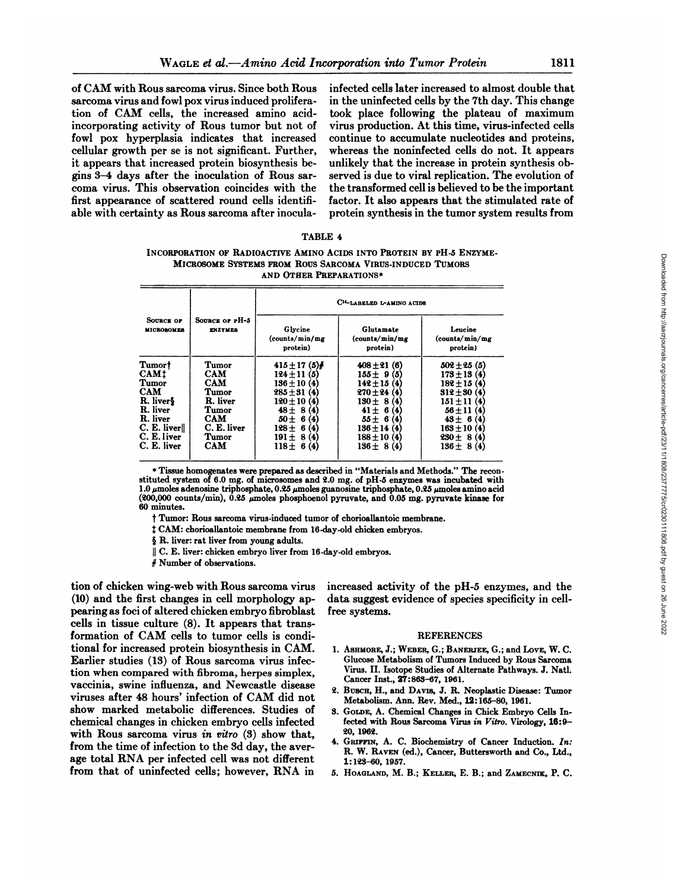of CAM with Rous sarcoma virus. Since both Rous sarcoma virus and fowl pox virus induced prolifera tion of CAM cells, the increased amino acidincorporating activity of Rous tumor but not of fowl pox hyperplasia indicates that increased cellular growth per se is not significant. Further, it appears that increased protein biosynthesis be gins 3-4 days after the inoculation of Rous sar coma virus. This observation coincides with the first appearance of scattered round cells identifi able with certainty as Rous sarcoma after inoculainfected cells later increased to almost double that in the uninfected cells by the 7th day. This change took place following the plateau of maximum virus production. At this time, virus-infected cells continue to accumulate nucleotides and proteins, whereas the noninfected cells do not. It appears unlikely that the increase in protein synthesis ob served is due to viral replication. The evolution of the transformed cell is believed to be the important factor. It also appears that the stimulated rate of protein synthesis in the tumor system results from

| <b>TABLE 4</b> |  |
|----------------|--|
|----------------|--|

INCORPORATION OF RADIOACTIVE AMINO ACIDS INTO PROTEIN BY PH-5 ENZYME-MICROSOME SYSTEMS FROM ROUS SARCOMA VIRUS-INDUCED TUMORS AND OTHER PREPARATIONS\*

|                                                                                                                                  |                                                                                                                                                                                                                                                                                                                                                             | AND OTHER PREPARATIONS*                                                                                                                                                               | MICROSOME SYSTEMS FROM ROUS SARCOMA VIRUS-INDUCED TUMORS                                                                                                                                                                                                                                                                                                                                                                                                                                                                                                                                           |                                                                                                                                                                                                                                  |  |
|----------------------------------------------------------------------------------------------------------------------------------|-------------------------------------------------------------------------------------------------------------------------------------------------------------------------------------------------------------------------------------------------------------------------------------------------------------------------------------------------------------|---------------------------------------------------------------------------------------------------------------------------------------------------------------------------------------|----------------------------------------------------------------------------------------------------------------------------------------------------------------------------------------------------------------------------------------------------------------------------------------------------------------------------------------------------------------------------------------------------------------------------------------------------------------------------------------------------------------------------------------------------------------------------------------------------|----------------------------------------------------------------------------------------------------------------------------------------------------------------------------------------------------------------------------------|--|
|                                                                                                                                  |                                                                                                                                                                                                                                                                                                                                                             | C <sup>14</sup> -LABELED L-AMINO ACIDS                                                                                                                                                |                                                                                                                                                                                                                                                                                                                                                                                                                                                                                                                                                                                                    |                                                                                                                                                                                                                                  |  |
| SOURCE OF<br><b>MICROSOMES</b>                                                                                                   | Source or pH-5<br><b>ENZYMES</b>                                                                                                                                                                                                                                                                                                                            | Glycine<br>(counts/min/mg)<br>protein)                                                                                                                                                | Glutamate<br>(counts/min/mg)<br>protein)                                                                                                                                                                                                                                                                                                                                                                                                                                                                                                                                                           | Leucine<br>(counts/min/mg<br>protein)                                                                                                                                                                                            |  |
| Tumor†<br><b>CAM1</b><br>Tumor<br><b>CAM</b><br>R. liver§<br>R. liver<br>R. liver<br>C. E. liver  <br>C. E. liver<br>C. E. liver | Tumor<br>CAM<br><b>CAM</b><br>Tumor<br>R. liver<br>Tumor<br>CAM<br>C. E. liver<br>Tumor<br>CAM                                                                                                                                                                                                                                                              | $415 \pm 17$ (5)#<br>$124 \pm 11(5)$<br>$136 \pm 10(4)$<br>$285 \pm 31(4)$<br>$120 \pm 10(4)$<br>$48 \pm 8(4)$<br>$50 \pm 6(4)$<br>$128 \pm 6(4)$<br>$191 \pm 8(4)$<br>$118 \pm 6(4)$ | $408 \pm 21(6)$<br>$155 \pm 9(5)$<br>$142 \pm 15(4)$<br>270±24 (4)<br>$130 \pm 8(4)$<br>$41 \pm 6(4)$<br>$55 \pm 6(4)$<br>$136 \pm 14$ (4)<br>$188 \pm 10$ (4)<br>$136 \pm 8(4)$                                                                                                                                                                                                                                                                                                                                                                                                                   | $502 \pm 25(5)$<br>$173 \pm 13(4)$<br>$182 \pm 15$ (4)<br>$312 \pm 30(4)$<br>$151 \pm 11$ (4)<br>$56 \pm 11(4)$<br>$43 \pm 6(4)$<br>$163 \pm 10$ (4)<br>$230 \pm 8(4)$<br>$136 \pm 8(4)$                                         |  |
| 60 minutes.                                                                                                                      | § R. liver: rat liver from young adults.<br># Number of observations.                                                                                                                                                                                                                                                                                       |                                                                                                                                                                                       | * Tissue homogenates were prepared as described in "Materials and Methods." The recon-<br>stituted system of 6.0 mg. of microsomes and 2.0 mg. of pH-5 enzymes was incubated with<br>1.0 umoles adenosine triphosphate, 0.25 umoles guanosine triphosphate, 0.25 umoles amino acid<br>(200,000 counts/min), 0.25 $\mu$ moles phosphoenol pyruvate, and 0.05 mg. pyruvate kinase for<br>† Tumor: Rous sarcoma virus-induced tumor of chorioallantoic membrane.<br>‡ CAM: chorioallantoic membrane from 16-day-old chicken embryos.<br>   C. E. liver: chicken embryo liver from 16-day-old embryos. |                                                                                                                                                                                                                                  |  |
|                                                                                                                                  | n wing-web with Rous sarcoma virus<br>irst changes in cell morphology ap-<br>of altered chicken embryo fibroblast<br>culture (8). It appears that trans-<br>$\mathop{\rm CAM}\nolimits$ cells to tumor cells is condi-<br>eased protein biosynthesis in CAM.<br>s (13) of Rous sarcoma virus infec-                                                         |                                                                                                                                                                                       | increased activity of the pH-5 enzymes, and the<br>data suggest evidence of species specificity in cell-<br>free systems.<br>1. ASHMORE, J.; WEBER, G.; BANERJEE, G.; and LOVE, W. C.                                                                                                                                                                                                                                                                                                                                                                                                              | <b>REFERENCES</b><br>Glucose Metabolism of Tumors Induced by Rous Sarcoma                                                                                                                                                        |  |
|                                                                                                                                  | pared with fibroma, herpes simplex,<br>e influenza, and Newcastle disease<br>8 hours' infection of CAM did not<br>metabolic differences. Studies of<br>ges in chicken embryo cells infected<br>reoma virus in vitro $(3)$ show that,<br>of infection to the 3d day, the aver-<br>A per infected cell was not different<br>uninfected cells; however, RNA in |                                                                                                                                                                                       | Cancer Inst., 27:863-67, 1961.<br>2. BUSCH, H., and DAVIS, J. R. Neoplastic Disease: Tumor<br>3. GOLDE, A. Chemical Changes in Chick Embryo Cells In-<br>20, 1962.<br>4. GRIFFIN, A. C. Biochemistry of Cancer Induction. In:<br>1:123-60, 1957.<br>5. HOAGLAND, M. B.; KELLER, E. B.; and ZAMECNIK, P. C.                                                                                                                                                                                                                                                                                         | Virus. II. Isotope Studies of Alternate Pathways. J. Natl.<br>Metabolism. Ann. Rev. Med., 12:165-80, 1961.<br>fected with Rous Sarcoma Virus in Vitro. Virology, 16:9-<br>R. W. RAVEN (ed.), Cancer, Buttersworth and Co., Ltd., |  |

tion of chicken wing-web with Rous sarcoma virus (10) and the first changes in cell morphology ap pearing as foci of altered chicken embryo fibroblast cells in tissue culture (8). It appears that trans formation of CAM cells to tumor cells is condi tional for increased protein biosynthesis in CAM. Earlier studies (13) of Rous sarcoma virus infec tion when compared with fibroma, herpes simplex, vaccinia, swine influenza, and Newcastle disease viruses after <sup>48</sup> hours' infection of CAM did not show marked metabolic differences. Studies of 3. chemical changes in chicken embryo cells infected with Rous sarcoma virus in vitro  $(3)$  show that, from the time of infection to the 3d day, the aver age total RNA per infected cell was not different from that of uninfected cells; however, RNA in 5. HOAGLAND, M. B.; KELLER, E. B.; and ZAMECNIK, P. C.

#### **REFERENCES**

- 1. ASHMORE, J.; WEBER, G.; BANERJEE, G.; and LOVE, W. C. Glucose Metabolism of Tumors Induced by Rous Sarcoma Virus. II. Isotope Studies of Alternate Pathways. J. Nati. Cancer Inst., 27:863-67, 1961.
- 2. BUSCH, H., and DAVIS, J. R. Neoplastic Disease: Tumor Metabolism. Ann. Rev. Med., 12:165-80, 1961.
- 3. GOLDE,A. Chemical Changes in Chick Embryo Cells In fected with Rous Sarcoma Virus in Vitro. Virology, 16:9- 20, 1962.
- GRIFFIN, A. C. Biochemistry of Cancer Induction. In: R. W. RAVEN (ed.), Cancer, Buttersworth and Co., Ltd., 1:123-60, 1957.
-